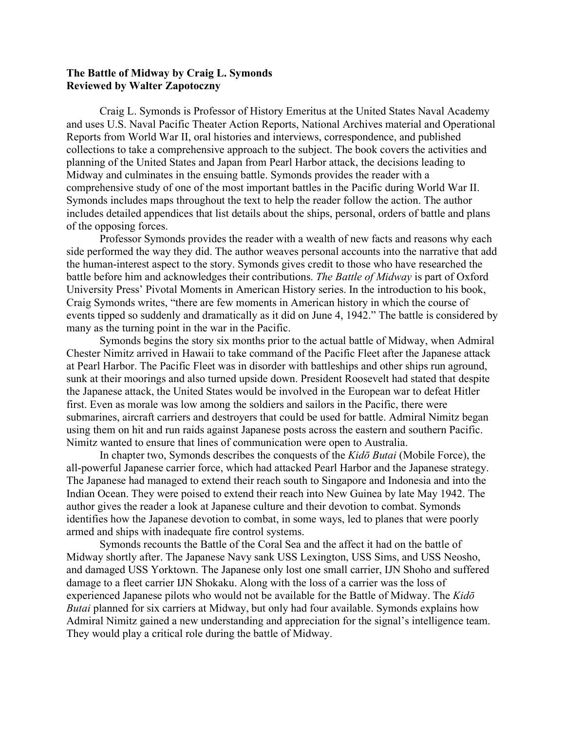## **The Battle of Midway by Craig L. Symonds Reviewed by Walter Zapotoczny**

Craig L. Symonds is Professor of History Emeritus at the United States Naval Academy and uses U.S. Naval Pacific Theater Action Reports, National Archives material and Operational Reports from World War II, oral histories and interviews, correspondence, and published collections to take a comprehensive approach to the subject. The book covers the activities and planning of the United States and Japan from Pearl Harbor attack, the decisions leading to Midway and culminates in the ensuing battle. Symonds provides the reader with a comprehensive study of one of the most important battles in the Pacific during World War II. Symonds includes maps throughout the text to help the reader follow the action. The author includes detailed appendices that list details about the ships, personal, orders of battle and plans of the opposing forces.

Professor Symonds provides the reader with a wealth of new facts and reasons why each side performed the way they did. The author weaves personal accounts into the narrative that add the human-interest aspect to the story. Symonds gives credit to those who have researched the battle before him and acknowledges their contributions. *The Battle of Midway* is part of Oxford University Press' Pivotal Moments in American History series. In the introduction to his book, Craig Symonds writes, "there are few moments in American history in which the course of events tipped so suddenly and dramatically as it did on June 4, 1942." The battle is considered by many as the turning point in the war in the Pacific.

Symonds begins the story six months prior to the actual battle of Midway, when Admiral Chester Nimitz arrived in Hawaii to take command of the Pacific Fleet after the Japanese attack at Pearl Harbor. The Pacific Fleet was in disorder with battleships and other ships run aground, sunk at their moorings and also turned upside down. President Roosevelt had stated that despite the Japanese attack, the United States would be involved in the European war to defeat Hitler first. Even as morale was low among the soldiers and sailors in the Pacific, there were submarines, aircraft carriers and destroyers that could be used for battle. Admiral Nimitz began using them on hit and run raids against Japanese posts across the eastern and southern Pacific. Nimitz wanted to ensure that lines of communication were open to Australia.

In chapter two, Symonds describes the conquests of the *Kidō Butai* (Mobile Force), the all-powerful Japanese carrier force, which had attacked Pearl Harbor and the Japanese strategy. The Japanese had managed to extend their reach south to Singapore and Indonesia and into the Indian Ocean. They were poised to extend their reach into New Guinea by late May 1942. The author gives the reader a look at Japanese culture and their devotion to combat. Symonds identifies how the Japanese devotion to combat, in some ways, led to planes that were poorly armed and ships with inadequate fire control systems.

Symonds recounts the Battle of the Coral Sea and the affect it had on the battle of Midway shortly after. The Japanese Navy sank USS Lexington, USS Sims, and USS Neosho, and damaged USS Yorktown. The Japanese only lost one small carrier, IJN Shoho and suffered damage to a fleet carrier IJN Shokaku. Along with the loss of a carrier was the loss of experienced Japanese pilots who would not be available for the Battle of Midway. The *Kidō Butai* planned for six carriers at Midway, but only had four available. Symonds explains how Admiral Nimitz gained a new understanding and appreciation for the signal's intelligence team. They would play a critical role during the battle of Midway.